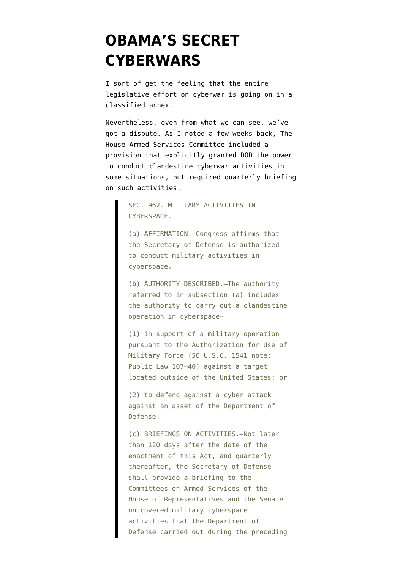## **[OBAMA'S SECRET](https://www.emptywheel.net/2011/05/24/obamas-secret-cyberwars/) [CYBERWARS](https://www.emptywheel.net/2011/05/24/obamas-secret-cyberwars/)**

I sort of get the feeling that the entire legislative effort on cyberwar is going on in a classified annex.

Nevertheless, even from what we can see, we've got a dispute. As I [noted](http://emptywheel.firedoglake.com/2011/05/10/congress-to-dod-you-must-start-briefing-us-on-cyberwar-now/) a few weeks back, The House Armed Services Committee [included](http://1.usa.gov/msVZgt) a provision that explicitly granted DOD the power to conduct clandestine cyberwar activities in some situations, but required quarterly briefing on such activities.

> SEC. 962. MILITARY ACTIVITIES IN CYBERSPACE.

(a) AFFIRMATION.—Congress affirms that the Secretary of Defense is authorized to conduct military activities in cyberspace.

(b) AUTHORITY DESCRIBED.—The authority referred to in subsection (a) includes the authority to carry out a clandestine operation in cyberspace—

(1) in support of a military operation pursuant to the Authorization for Use of Military Force (50 U.S.C. 1541 note; Public Law 107–40) against a target located outside of the United States; or

(2) to defend against a cyber attack against an asset of the Department of Defense.

(c) BRIEFINGS ON ACTIVITIES.—Not later than 120 days after the date of the enactment of this Act, and quarterly thereafter, the Secretary of Defense shall provide a briefing to the Committees on Armed Services of the House of Representatives and the Senate on covered military cyberspace activities that the Department of Defense carried out during the preceding